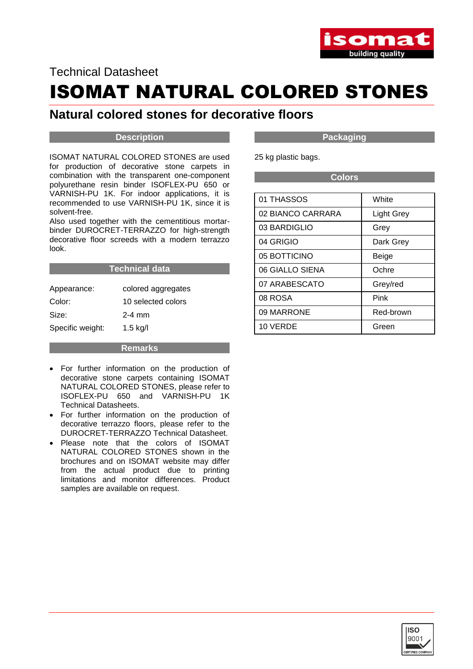

### Technical Datasheet

# ISOMAT NATURAL COLORED STONES

## **Natural colored stones for decorative floors**

#### **Description**

ISOMAT NATURAL COLORED STONES are used for production of decorative stone carpets in combination with the transparent one-component polyurethane resin binder ISOFLEX-PU 650 or VARNISH-PU 1K. For indoor applications, it is recommended to use VARNISH-PU 1K, since it is solvent-free.

Also used together with the cementitious mortarbinder DUROCRET-TERRAZZO for high-strength decorative floor screeds with a modern terrazzo look.

#### **Technical data**

| Appearance:      | colored aggregates |
|------------------|--------------------|
| Color:           | 10 selected colors |
| Size:            | $2-4$ mm           |
| Specific weight: | $1.5$ kg/l         |

**Remarks**

- For further information on the production of decorative stone carpets containing ISOMAT NATURAL COLORED STONES, please refer to ISOFLEX-PU 650 and VARNISH-PU 1K Technical Datasheets.
- For further information on the production of decorative terrazzo floors, please refer to the DUROCRET-TERRAZZO Technical Datasheet.
- Please note that the colors of ISOMAT NATURAL COLORED STONES shown in the brochures and on ISOMAT website may differ from the actual product due to printing limitations and monitor differences. Product samples are available on request.

**Packaging**

25 kg plastic bags.

**Colors**

| 01 THASSOS        | White             |
|-------------------|-------------------|
| 02 BIANCO CARRARA | <b>Light Grey</b> |
| 03 BARDIGLIO      | Grey              |
| 04 GRIGIO         | Dark Grey         |
| 05 BOTTICINO      | Beige             |
| 06 GIALLO SIENA   | Ochre             |
| 07 ARABESCATO     | Grey/red          |
| 08 ROSA           | Pink              |
| 09 MARRONE        | Red-brown         |
| 10 VERDE          | Green             |